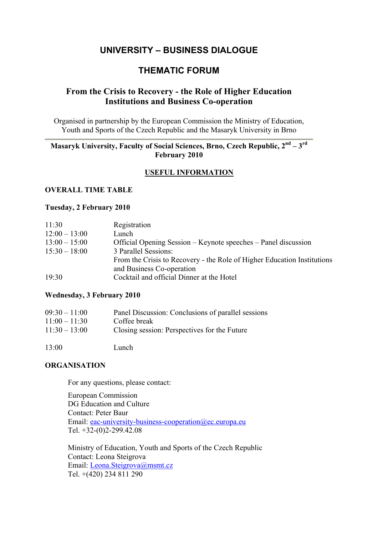# **UNIVERSITY – BUSINESS DIALOGUE**

## **THEMATIC FORUM**

## **From the Crisis to Recovery - the Role of Higher Education Institutions and Business Co-operation**

Organised in partnership by the European Commission the Ministry of Education, Youth and Sports of the Czech Republic and the Masaryk University in Brno

## **Masaryk University, Faculty of Social Sciences, Brno, Czech Republic, 2nd – 3rd February 2010**

## **USEFUL INFORMATION**

#### **OVERALL TIME TABLE**

#### **Tuesday, 2 February 2010**

| 11:30           | Registration                                                            |
|-----------------|-------------------------------------------------------------------------|
| $12:00 - 13:00$ | Lunch                                                                   |
| $13:00 - 15:00$ | Official Opening Session – Keynote speeches – Panel discussion          |
| $15:30 - 18:00$ | 3 Parallel Sessions:                                                    |
|                 | From the Crisis to Recovery - the Role of Higher Education Institutions |
|                 | and Business Co-operation                                               |
| 19:30           | Cocktail and official Dinner at the Hotel                               |

#### **Wednesday, 3 February 2010**

| $09:30 - 11:00$ | Panel Discussion: Conclusions of parallel sessions |
|-----------------|----------------------------------------------------|
| $11:00 - 11:30$ | Coffee break                                       |
| $11:30 - 13:00$ | Closing session: Perspectives for the Future       |

13:00 Lunch

## **ORGANISATION**

For any questions, please contact:

European Commission DG Education and Culture Contact: Peter Baur Email: eac-university-business-cooperation@ec.europa.eu Tel. +32-(0)2-299.42.08

Ministry of Education, Youth and Sports of the Czech Republic Contact: Leona Steigrova Email: Leona.Steigrova@msmt.cz Tel. +(420) 234 811 290